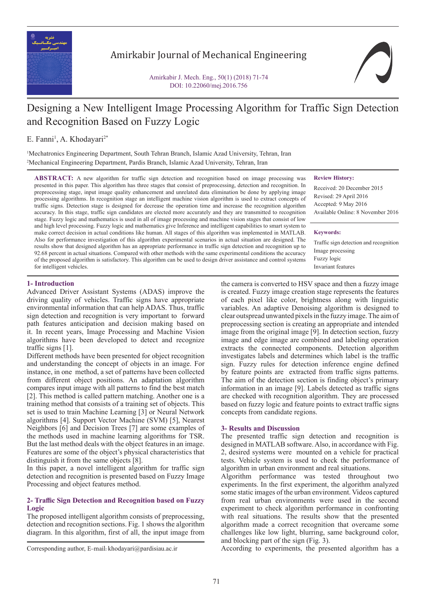

Amirkabir Journal of Mechanical Engineering

Amirkabir J. Mech. Eng., 50(1) (2018) 71-74 DOI: 10.22060/mej.2016.756

# Designing a New Intelligent Image Processing Algorithm for Traffic Sign Detection and Recognition Based on Fuzzy Logic

# E. Fanni<sup>1</sup>, A. Khodayari<sup>2\*</sup>

1 Mechatronics Engineering Department, South Tehran Branch, Islamic Azad University, Tehran, Iran 2 Mechanical Engineering Department, Pardis Branch, Islamic Azad University, Tehran, Iran

**ABSTRACT:** A new algorithm for traffic sign detection and recognition based on image processing was presented in this paper. This algorithm has three stages that consist of preprocessing, detection and recognition. In preprocessing stage, input image quality enhancement and unrelated data elimination be done by applying image processing algorithms. In recognition stage an intelligent machine vision algorithm is used to extract concepts of traffic signs. Detection stage is designed for decrease the operation time and increase the recognition algorithm accuracy. In this stage, traffic sign candidates are elected more accurately and they are transmitted to recognition stage. Fuzzy logic and mathematics is used in all of image processing and machine vision stages that consist of low and high level processing. Fuzzy logic and mathematics give Inference and intelligent capabilities to smart system to make correct decision in actual conditions like human. All stages of this algorithm was implemented in MATLAB. Also for performance investigation of this algorithm experimental scenarios in actual situation are designed. The results show that designed algorithm has an appropriate performance in traffic sign detection and recognition up to 92.68 percent in actual situations. Compared with other methods with the same experimental conditions the accuracy of the proposed algorithm is satisfactory. This algorithm can be used to design driver assistance and control systems for intelligent vehicles.

## **Review History:**

Received: 20 December 2015 Revised: 29 April 2016 Accepted: 9 May 2016 Available Online: 8 November 2016

#### **Keywords:**

Traffic sign detection and recognition Image processing Fuzzy logic Invariant features

# **1- Introduction**

Advanced Driver Assistant Systems (ADAS) improve the driving quality of vehicles. Traffic signs have appropriate environmental information that can help ADAS. Thus, traffic sign detection and recognition is very important to forward path features anticipation and decision making based on it. In recent years, Image Processing and Machine Vision algorithms have been developed to detect and recognize traffic signs [1].

Different methods have been presented for object recognition and understanding the concept of objects in an image. For instance, in one method, a set of patterns have been collected from different object positions. An adaptation algorithm compares input image with all patterns to find the best match [2]. This method is called pattern matching. Another one is a training method that consists of a training set of objects. This set is used to train Machine Learning [3] or Neural Network algorithms [4]. Support Vector Machine (SVM) [5], Nearest Neighbors [6] and Decision Trees [7] are some examples of the methods used in machine learning algorithms for TSR. But the last method deals with the object features in an image. Features are some of the object's physical characteristics that distinguish it from the same objects [8].

In this paper, a novel intelligent algorithm for traffic sign detection and recognition is presented based on Fuzzy Image Processing and object features method.

## **2- Traffic Sign Detection and Recognition based on Fuzzy Logic**

The proposed intelligent algorithm consists of preprocessing, detection and recognition sections. Fig. 1 shows the algorithm diagram. In this algorithm, first of all, the input image from

the camera is converted to HSV space and then a fuzzy image is created. Fuzzy image creation stage represents the features of each pixel like color, brightness along with linguistic variables. An adaptive Denoising algorithm is designed to clear outspread unwanted pixels in the fuzzy image. The aim of preprocessing section is creating an appropriate and intended image from the original image [9]. In detection section, fuzzy image and edge image are combined and labeling operation extracts the connected components. Detection algorithm investigates labels and determines which label is the traffic sign. Fuzzy rules for detection inference engine defined by feature points are extracted from traffic signs patterns. The aim of the detection section is finding object's primary information in an image [9]. Labels detected as traffic signs are checked with recognition algorithm. They are processed based on fuzzy logic and feature points to extract traffic signs concepts from candidate regions.

## **3- Results and Discussion**

The presented traffic sign detection and recognition is designed in MATLAB software. Also, in accordance with Fig. 2, desired systems were mounted on a vehicle for practical tests. Vehicle system is used to check the performance of algorithm in urban environment and real situations.

Algorithm performance was tested throughout two experiments. In the first experiment, the algorithm analyzed some static images of the urban environment. Videos captured from real urban environments were used in the second experiment to check algorithm performance in confronting with real situations. The results show that the presented algorithm made a correct recognition that overcame some challenges like low light, blurring, same background color, and blocking part of the sign (Fig. 3).

Corresponding author, E-mail: khodayari@pardisiau.ac.ir According to experiments, the presented algorithm has a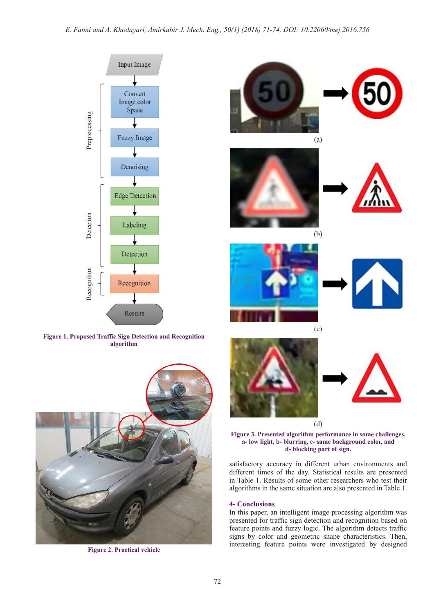

**Figure 1. Proposed Traffic Sign Detection and Recognition algorithm**



**Figure 2. Practical vehicle**











(b)









#### (d)

(c)

## **Figure 3. Presented algorithm performance in some challenges. a- low light, b- blurring, c- same background color, and d- blocking part of sign.**

satisfactory accuracy in different urban environments and different times of the day. Statistical results are presented in Table 1. Results of some other researchers who test their algorithms in the same situation are also presented in Table 1.

## **4- Conclusions**

In this paper, an intelligent image processing algorithm was presented for traffic sign detection and recognition based on feature points and fuzzy logic. The algorithm detects traffic signs by color and geometric shape characteristics. Then, interesting feature points were investigated by designed